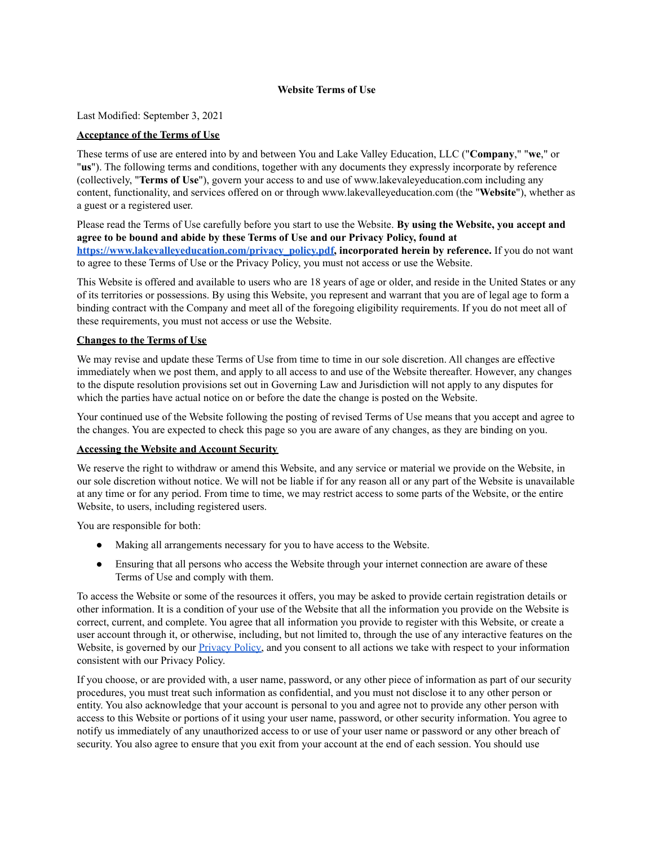### **Website Terms of Use**

Last Modified: September 3, 2021

## **Acceptance of the Terms of Use**

These terms of use are entered into by and between You and Lake Valley Education, LLC ("**Company**," "**we**," or "**us**"). The following terms and conditions, together with any documents they expressly incorporate by reference (collectively, "**Terms of Use**"), govern your access to and use of www.lakevaleyeducation.com including any content, functionality, and services offered on or through www.lakevalleyeducation.com (the "**Website**"), whether as a guest or a registered user.

Please read the Terms of Use carefully before you start to use the Website. **By using the Website, you accept and agree to be bound and abide by these Terms of Use and our Privacy Policy, found at [https://www.lakevalleyeducation.com/privacy\\_policy.pdf,](https://www.lakevalleyeducation.com/privacy_policy.pdf) incorporated herein by reference.** If you do not want to agree to these Terms of Use or the Privacy Policy, you must not access or use the Website.

This Website is offered and available to users who are 18 years of age or older, and reside in the United States or any of its territories or possessions. By using this Website, you represent and warrant that you are of legal age to form a binding contract with the Company and meet all of the foregoing eligibility requirements. If you do not meet all of these requirements, you must not access or use the Website.

### **Changes to the Terms of Use**

We may revise and update these Terms of Use from time to time in our sole discretion. All changes are effective immediately when we post them, and apply to all access to and use of the Website thereafter. However, any changes to the dispute resolution provisions set out in Governing Law and [Jurisdiction](https://matlegal-my.sharepoint.com/personal/priyanka_mat-legal_com/Documents/Office%20Internal/Client%20Matters/Lucy%20Hertz/Privacy%20Policy/Website%20Terms%20of%20Use_LVE.doc#a699054) will not apply to any disputes for which the parties have actual notice on or before the date the change is posted on the Website.

Your continued use of the Website following the posting of revised Terms of Use means that you accept and agree to the changes. You are expected to check this page so you are aware of any changes, as they are binding on you.

#### **Accessing the Website and Account Security**

We reserve the right to withdraw or amend this Website, and any service or material we provide on the Website, in our sole discretion without notice. We will not be liable if for any reason all or any part of the Website is unavailable at any time or for any period. From time to time, we may restrict access to some parts of the Website, or the entire Website, to users, including registered users.

You are responsible for both:

- Making all arrangements necessary for you to have access to the Website.
- Ensuring that all persons who access the Website through your internet connection are aware of these Terms of Use and comply with them.

To access the Website or some of the resources it offers, you may be asked to provide certain registration details or other information. It is a condition of your use of the Website that all the information you provide on the Website is correct, current, and complete. You agree that all information you provide to register with this Website, or create a user account through it, or otherwise, including, but not limited to, through the use of any interactive features on the Website, is governed by our **[Privacy](https://www.lakevalleyeducation.com/privacy_policy.pdf) Policy**, and you consent to all actions we take with respect to your information consistent with our Privacy Policy.

If you choose, or are provided with, a user name, password, or any other piece of information as part of our security procedures, you must treat such information as confidential, and you must not disclose it to any other person or entity. You also acknowledge that your account is personal to you and agree not to provide any other person with access to this Website or portions of it using your user name, password, or other security information. You agree to notify us immediately of any unauthorized access to or use of your user name or password or any other breach of security. You also agree to ensure that you exit from your account at the end of each session. You should use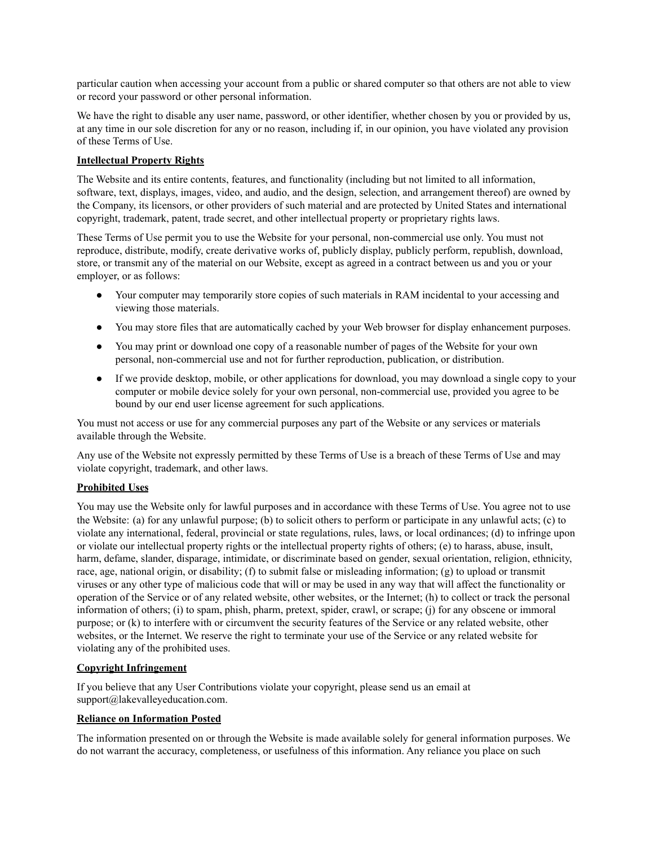particular caution when accessing your account from a public or shared computer so that others are not able to view or record your password or other personal information.

We have the right to disable any user name, password, or other identifier, whether chosen by you or provided by us, at any time in our sole discretion for any or no reason, including if, in our opinion, you have violated any provision of these Terms of Use.

### **Intellectual Property Rights**

The Website and its entire contents, features, and functionality (including but not limited to all information, software, text, displays, images, video, and audio, and the design, selection, and arrangement thereof) are owned by the Company, its licensors, or other providers of such material and are protected by United States and international copyright, trademark, patent, trade secret, and other intellectual property or proprietary rights laws.

These Terms of Use permit you to use the Website for your personal, non-commercial use only. You must not reproduce, distribute, modify, create derivative works of, publicly display, publicly perform, republish, download, store, or transmit any of the material on our Website, except as agreed in a contract between us and you or your employer, or as follows:

- Your computer may temporarily store copies of such materials in RAM incidental to your accessing and viewing those materials.
- You may store files that are automatically cached by your Web browser for display enhancement purposes.
- You may print or download one copy of a reasonable number of pages of the Website for your own personal, non-commercial use and not for further reproduction, publication, or distribution.
- If we provide desktop, mobile, or other applications for download, you may download a single copy to your computer or mobile device solely for your own personal, non-commercial use, provided you agree to be bound by our end user license agreement for such applications.

You must not access or use for any commercial purposes any part of the Website or any services or materials available through the Website.

Any use of the Website not expressly permitted by these Terms of Use is a breach of these Terms of Use and may violate copyright, trademark, and other laws.

## **Prohibited Uses**

You may use the Website only for lawful purposes and in accordance with these Terms of Use. You agree not to use the Website: (a) for any unlawful purpose; (b) to solicit others to perform or participate in any unlawful acts; (c) to violate any international, federal, provincial or state regulations, rules, laws, or local ordinances; (d) to infringe upon or violate our intellectual property rights or the intellectual property rights of others; (e) to harass, abuse, insult, harm, defame, slander, disparage, intimidate, or discriminate based on gender, sexual orientation, religion, ethnicity, race, age, national origin, or disability; (f) to submit false or misleading information; (g) to upload or transmit viruses or any other type of malicious code that will or may be used in any way that will affect the functionality or operation of the Service or of any related website, other websites, or the Internet; (h) to collect or track the personal information of others; (i) to spam, phish, pharm, pretext, spider, crawl, or scrape; (j) for any obscene or immoral purpose; or (k) to interfere with or circumvent the security features of the Service or any related website, other websites, or the Internet. We reserve the right to terminate your use of the Service or any related website for violating any of the prohibited uses.

## **Copyright Infringement**

If you believe that any User Contributions violate your copyright, please send us an email at support@lakevalleyeducation.com.

## **Reliance on Information Posted**

The information presented on or through the Website is made available solely for general information purposes. We do not warrant the accuracy, completeness, or usefulness of this information. Any reliance you place on such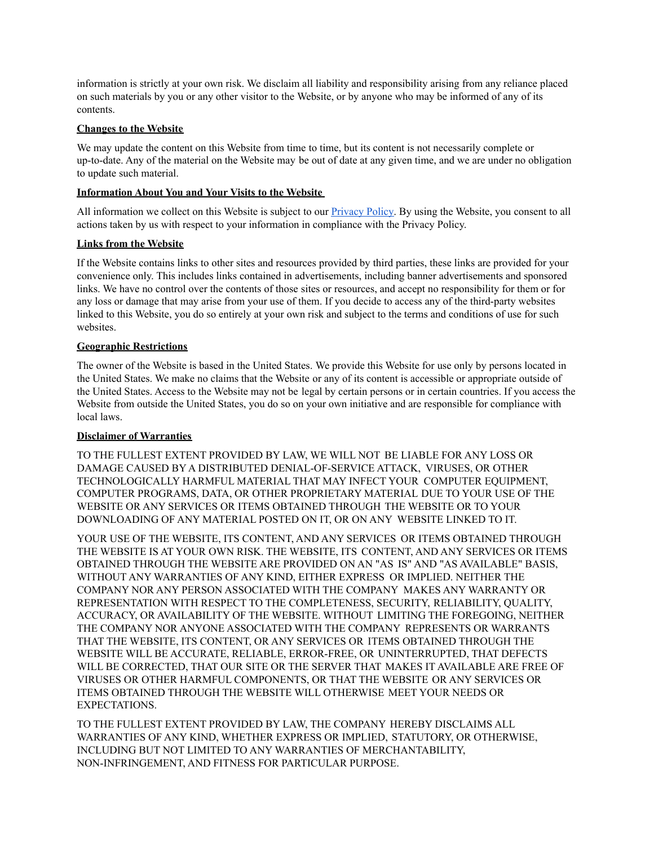information is strictly at your own risk. We disclaim all liability and responsibility arising from any reliance placed on such materials by you or any other visitor to the Website, or by anyone who may be informed of any of its contents.

## **Changes to the Website**

We may update the content on this Website from time to time, but its content is not necessarily complete or up-to-date. Any of the material on the Website may be out of date at any given time, and we are under no obligation to update such material.

# **Information About You and Your Visits to the Website**

All information we collect on this Website is subject to our **[Privacy](https://www.lakevalleyeducation.com/privacy_policy.pdf) Policy**. By using the Website, you consent to all actions taken by us with respect to your information in compliance with the Privacy Policy.

# **Links from the Website**

If the Website contains links to other sites and resources provided by third parties, these links are provided for your convenience only. This includes links contained in advertisements, including banner advertisements and sponsored links. We have no control over the contents of those sites or resources, and accept no responsibility for them or for any loss or damage that may arise from your use of them. If you decide to access any of the third-party websites linked to this Website, you do so entirely at your own risk and subject to the terms and conditions of use for such websites.

# **Geographic Restrictions**

The owner of the Website is based in the United States. We provide this Website for use only by persons located in the United States. We make no claims that the Website or any of its content is accessible or appropriate outside of the United States. Access to the Website may not be legal by certain persons or in certain countries. If you access the Website from outside the United States, you do so on your own initiative and are responsible for compliance with local laws.

## **Disclaimer of Warranties**

TO THE FULLEST EXTENT PROVIDED BY LAW, WE WILL NOT BE LIABLE FOR ANY LOSS OR DAMAGE CAUSED BY A DISTRIBUTED DENIAL-OF-SERVICE ATTACK, VIRUSES, OR OTHER TECHNOLOGICALLY HARMFUL MATERIAL THAT MAY INFECT YOUR COMPUTER EQUIPMENT, COMPUTER PROGRAMS, DATA, OR OTHER PROPRIETARY MATERIAL DUE TO YOUR USE OF THE WEBSITE OR ANY SERVICES OR ITEMS OBTAINED THROUGH THE WEBSITE OR TO YOUR DOWNLOADING OF ANY MATERIAL POSTED ON IT, OR ON ANY WEBSITE LINKED TO IT.

YOUR USE OF THE WEBSITE, ITS CONTENT, AND ANY SERVICES OR ITEMS OBTAINED THROUGH THE WEBSITE IS AT YOUR OWN RISK. THE WEBSITE, ITS CONTENT, AND ANY SERVICES OR ITEMS OBTAINED THROUGH THE WEBSITE ARE PROVIDED ON AN "AS IS" AND "AS AVAILABLE" BASIS, WITHOUT ANY WARRANTIES OF ANY KIND, EITHER EXPRESS OR IMPLIED. NEITHER THE COMPANY NOR ANY PERSON ASSOCIATED WITH THE COMPANY MAKES ANY WARRANTY OR REPRESENTATION WITH RESPECT TO THE COMPLETENESS, SECURITY, RELIABILITY, QUALITY, ACCURACY, OR AVAILABILITY OF THE WEBSITE. WITHOUT LIMITING THE FOREGOING, NEITHER THE COMPANY NOR ANYONE ASSOCIATED WITH THE COMPANY REPRESENTS OR WARRANTS THAT THE WEBSITE, ITS CONTENT, OR ANY SERVICES OR ITEMS OBTAINED THROUGH THE WEBSITE WILL BE ACCURATE, RELIABLE, ERROR-FREE, OR UNINTERRUPTED, THAT DEFECTS WILL BE CORRECTED, THAT OUR SITE OR THE SERVER THAT MAKES IT AVAILABLE ARE FREE OF VIRUSES OR OTHER HARMFUL COMPONENTS, OR THAT THE WEBSITE OR ANY SERVICES OR ITEMS OBTAINED THROUGH THE WEBSITE WILL OTHERWISE MEET YOUR NEEDS OR EXPECTATIONS.

TO THE FULLEST EXTENT PROVIDED BY LAW, THE COMPANY HEREBY DISCLAIMS ALL WARRANTIES OF ANY KIND, WHETHER EXPRESS OR IMPLIED, STATUTORY, OR OTHERWISE, INCLUDING BUT NOT LIMITED TO ANY WARRANTIES OF MERCHANTABILITY, NON-INFRINGEMENT, AND FITNESS FOR PARTICULAR PURPOSE.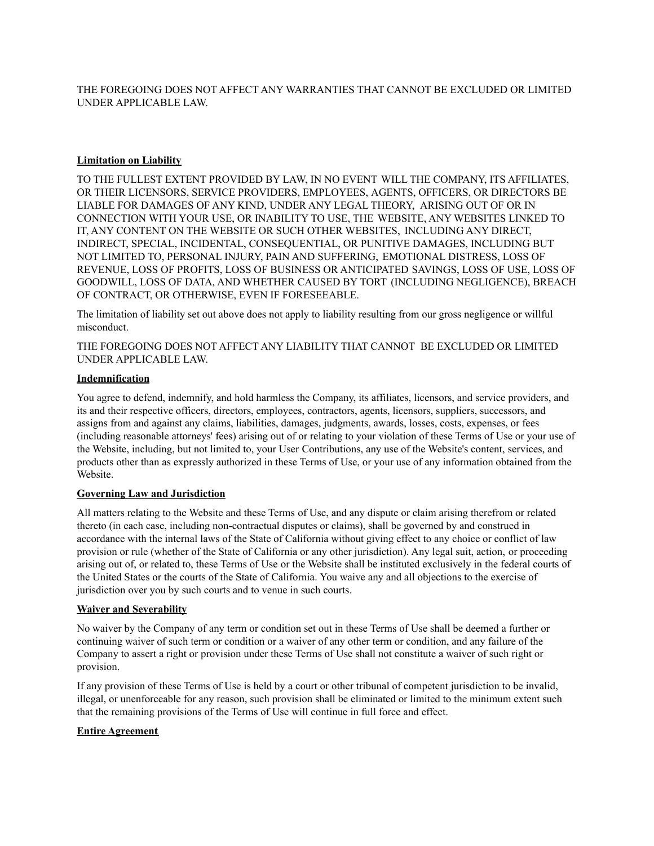THE FOREGOING DOES NOT AFFECT ANY WARRANTIES THAT CANNOT BE EXCLUDED OR LIMITED UNDER APPLICABLE LAW.

#### **Limitation on Liability**

TO THE FULLEST EXTENT PROVIDED BY LAW, IN NO EVENT WILL THE COMPANY, ITS AFFILIATES, OR THEIR LICENSORS, SERVICE PROVIDERS, EMPLOYEES, AGENTS, OFFICERS, OR DIRECTORS BE LIABLE FOR DAMAGES OF ANY KIND, UNDER ANY LEGAL THEORY, ARISING OUT OF OR IN CONNECTION WITH YOUR USE, OR INABILITY TO USE, THE WEBSITE, ANY WEBSITES LINKED TO IT, ANY CONTENT ON THE WEBSITE OR SUCH OTHER WEBSITES, INCLUDING ANY DIRECT, INDIRECT, SPECIAL, INCIDENTAL, CONSEQUENTIAL, OR PUNITIVE DAMAGES, INCLUDING BUT NOT LIMITED TO, PERSONAL INJURY, PAIN AND SUFFERING, EMOTIONAL DISTRESS, LOSS OF REVENUE, LOSS OF PROFITS, LOSS OF BUSINESS OR ANTICIPATED SAVINGS, LOSS OF USE, LOSS OF GOODWILL, LOSS OF DATA, AND WHETHER CAUSED BY TORT (INCLUDING NEGLIGENCE), BREACH OF CONTRACT, OR OTHERWISE, EVEN IF FORESEEABLE.

The limitation of liability set out above does not apply to liability resulting from our gross negligence or willful misconduct.

THE FOREGOING DOES NOT AFFECT ANY LIABILITY THAT CANNOT BE EXCLUDED OR LIMITED UNDER APPLICABLE LAW.

### **Indemnification**

You agree to defend, indemnify, and hold harmless the Company, its affiliates, licensors, and service providers, and its and their respective officers, directors, employees, contractors, agents, licensors, suppliers, successors, and assigns from and against any claims, liabilities, damages, judgments, awards, losses, costs, expenses, or fees (including reasonable attorneys' fees) arising out of or relating to your violation of these Terms of Use or your use of the Website, including, but not limited to, your User Contributions, any use of the Website's content, services, and products other than as expressly authorized in these Terms of Use, or your use of any information obtained from the Website.

### **Governing Law and Jurisdiction**

All matters relating to the Website and these Terms of Use, and any dispute or claim arising therefrom or related thereto (in each case, including non-contractual disputes or claims), shall be governed by and construed in accordance with the internal laws of the State of California without giving effect to any choice or conflict of law provision or rule (whether of the State of California or any other jurisdiction). Any legal suit, action, or proceeding arising out of, or related to, these Terms of Use or the Website shall be instituted exclusively in the federal courts of the United States or the courts of the State of California. You waive any and all objections to the exercise of jurisdiction over you by such courts and to venue in such courts.

#### **Waiver and Severability**

No waiver by the Company of any term or condition set out in these Terms of Use shall be deemed a further or continuing waiver of such term or condition or a waiver of any other term or condition, and any failure of the Company to assert a right or provision under these Terms of Use shall not constitute a waiver of such right or provision.

If any provision of these Terms of Use is held by a court or other tribunal of competent jurisdiction to be invalid, illegal, or unenforceable for any reason, such provision shall be eliminated or limited to the minimum extent such that the remaining provisions of the Terms of Use will continue in full force and effect.

## **Entire Agreement**